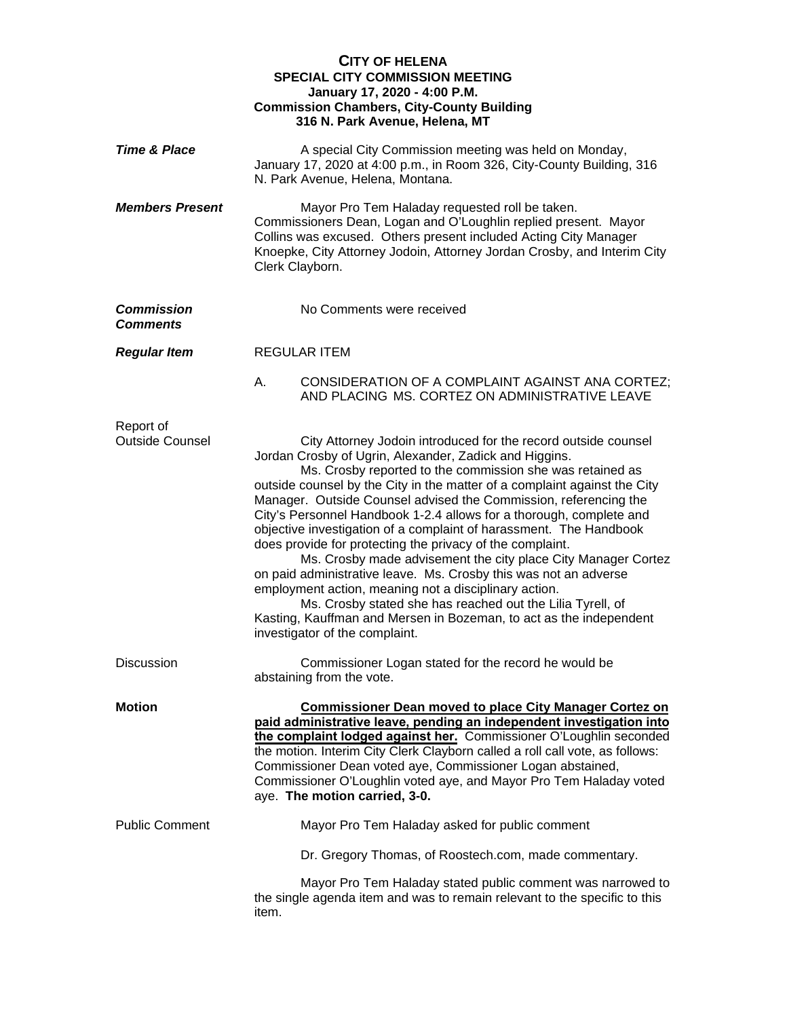|                                      | <b>CITY OF HELENA</b><br><b>SPECIAL CITY COMMISSION MEETING</b><br>January 17, 2020 - 4:00 P.M.<br><b>Commission Chambers, City-County Building</b><br>316 N. Park Avenue, Helena, MT                                                                                                                                                                                                                                                                                                                                                                                                                                                                                                                                                                                                                                                                                                                                |
|--------------------------------------|----------------------------------------------------------------------------------------------------------------------------------------------------------------------------------------------------------------------------------------------------------------------------------------------------------------------------------------------------------------------------------------------------------------------------------------------------------------------------------------------------------------------------------------------------------------------------------------------------------------------------------------------------------------------------------------------------------------------------------------------------------------------------------------------------------------------------------------------------------------------------------------------------------------------|
| <b>Time &amp; Place</b>              | A special City Commission meeting was held on Monday,<br>January 17, 2020 at 4:00 p.m., in Room 326, City-County Building, 316<br>N. Park Avenue, Helena, Montana.                                                                                                                                                                                                                                                                                                                                                                                                                                                                                                                                                                                                                                                                                                                                                   |
| <b>Members Present</b>               | Mayor Pro Tem Haladay requested roll be taken.<br>Commissioners Dean, Logan and O'Loughlin replied present. Mayor<br>Collins was excused. Others present included Acting City Manager<br>Knoepke, City Attorney Jodoin, Attorney Jordan Crosby, and Interim City<br>Clerk Clayborn.                                                                                                                                                                                                                                                                                                                                                                                                                                                                                                                                                                                                                                  |
| <b>Commission</b><br><b>Comments</b> | No Comments were received                                                                                                                                                                                                                                                                                                                                                                                                                                                                                                                                                                                                                                                                                                                                                                                                                                                                                            |
| <b>Regular Item</b>                  | <b>REGULAR ITEM</b>                                                                                                                                                                                                                                                                                                                                                                                                                                                                                                                                                                                                                                                                                                                                                                                                                                                                                                  |
|                                      | Α.<br>CONSIDERATION OF A COMPLAINT AGAINST ANA CORTEZ;<br>AND PLACING MS. CORTEZ ON ADMINISTRATIVE LEAVE                                                                                                                                                                                                                                                                                                                                                                                                                                                                                                                                                                                                                                                                                                                                                                                                             |
| Report of<br><b>Outside Counsel</b>  | City Attorney Jodoin introduced for the record outside counsel<br>Jordan Crosby of Ugrin, Alexander, Zadick and Higgins.<br>Ms. Crosby reported to the commission she was retained as<br>outside counsel by the City in the matter of a complaint against the City<br>Manager. Outside Counsel advised the Commission, referencing the<br>City's Personnel Handbook 1-2.4 allows for a thorough, complete and<br>objective investigation of a complaint of harassment. The Handbook<br>does provide for protecting the privacy of the complaint.<br>Ms. Crosby made advisement the city place City Manager Cortez<br>on paid administrative leave. Ms. Crosby this was not an adverse<br>employment action, meaning not a disciplinary action.<br>Ms. Crosby stated she has reached out the Lilia Tyrell, of<br>Kasting, Kauffman and Mersen in Bozeman, to act as the independent<br>investigator of the complaint. |
| Discussion                           | Commissioner Logan stated for the record he would be<br>abstaining from the vote.                                                                                                                                                                                                                                                                                                                                                                                                                                                                                                                                                                                                                                                                                                                                                                                                                                    |
| <b>Motion</b>                        | <b>Commissioner Dean moved to place City Manager Cortez on</b><br>paid administrative leave, pending an independent investigation into<br>the complaint lodged against her. Commissioner O'Loughlin seconded<br>the motion. Interim City Clerk Clayborn called a roll call vote, as follows:<br>Commissioner Dean voted aye, Commissioner Logan abstained,<br>Commissioner O'Loughlin voted aye, and Mayor Pro Tem Haladay voted<br>aye. The motion carried, 3-0.                                                                                                                                                                                                                                                                                                                                                                                                                                                    |
| <b>Public Comment</b>                | Mayor Pro Tem Haladay asked for public comment                                                                                                                                                                                                                                                                                                                                                                                                                                                                                                                                                                                                                                                                                                                                                                                                                                                                       |
|                                      | Dr. Gregory Thomas, of Roostech.com, made commentary.                                                                                                                                                                                                                                                                                                                                                                                                                                                                                                                                                                                                                                                                                                                                                                                                                                                                |
|                                      | Mayor Pro Tem Haladay stated public comment was narrowed to<br>the single agenda item and was to remain relevant to the specific to this<br>item.                                                                                                                                                                                                                                                                                                                                                                                                                                                                                                                                                                                                                                                                                                                                                                    |